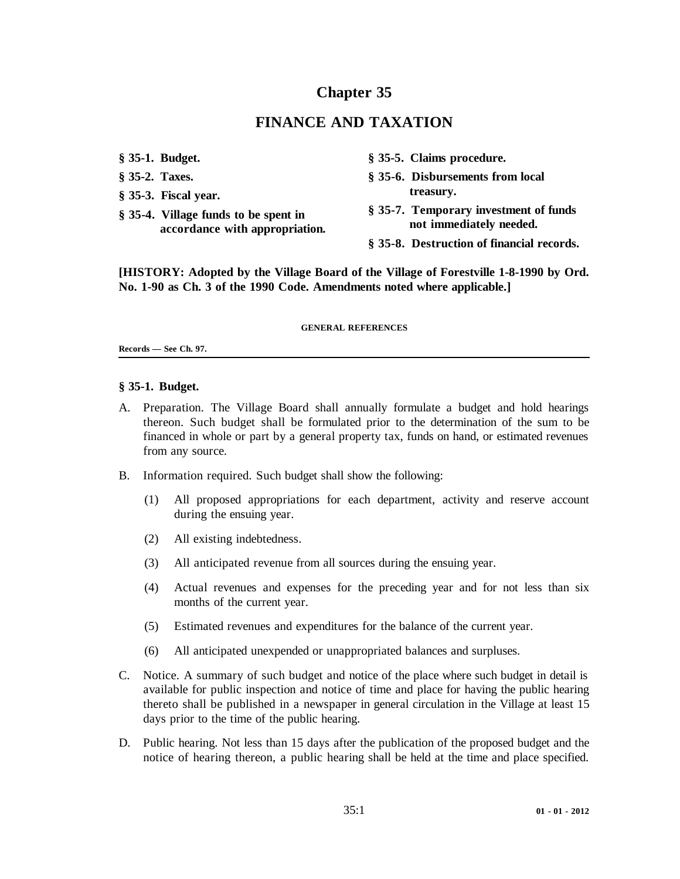# **Chapter 35**

# **FINANCE AND TAXATION**

- 
- 
- **treasury. § 35-3. Fiscal year.**
- 
- **§ 35-1. Budget. § 35-5. Claims procedure.**
- **§ 35-2. Taxes. § 35-6. Disbursements from local**
- § 35-4. Village funds to be spent in \$ 35-7. Temporary investment of funds<br>accordance with appropriation. **a** not immediately needed.
	- **§ 35-8. Destruction of financial records.**

**[HISTORY: Adopted by the Village Board of the Village of Forestville 1-8-1990 by Ord. No. 1-90 as Ch. 3 of the 1990 Code. Amendments noted where applicable.]**

#### **GENERAL REFERENCES**

#### **Records — See Ch. 97.**

#### **§ 35-1. Budget.**

- A. Preparation. The Village Board shall annually formulate a budget and hold hearings thereon. Such budget shall be formulated prior to the determination of the sum to be financed in whole or part by a general property tax, funds on hand, or estimated revenues from any source.
- B. Information required. Such budget shall show the following:
	- (1) All proposed appropriations for each department, activity and reserve account during the ensuing year.
	- (2) All existing indebtedness.
	- (3) All anticipated revenue from all sources during the ensuing year.
	- (4) Actual revenues and expenses for the preceding year and for not less than six months of the current year.
	- (5) Estimated revenues and expenditures for the balance of the current year.
	- (6) All anticipated unexpended or unappropriated balances and surpluses.
- C. Notice. A summary of such budget and notice of the place where such budget in detail is available for public inspection and notice of time and place for having the public hearing thereto shall be published in a newspaper in general circulation in the Village at least 15 days prior to the time of the public hearing.
- D. Public hearing. Not less than 15 days after the publication of the proposed budget and the notice of hearing thereon, a public hearing shall be held at the time and place specified.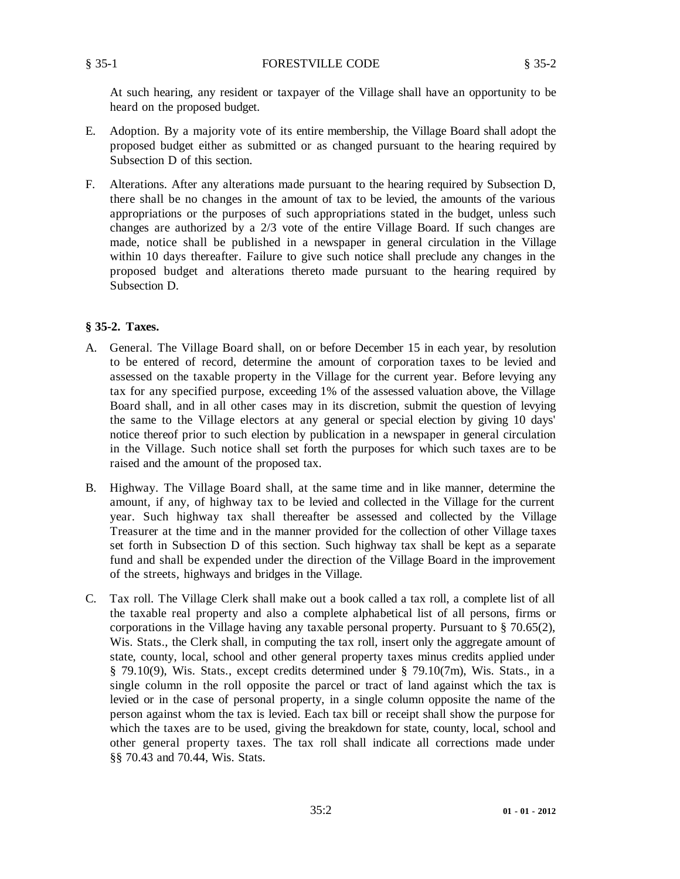At such hearing, any resident or taxpayer of the Village shall have an opportunity to be heard on the proposed budget.

- E. Adoption. By a majority vote of its entire membership, the Village Board shall adopt the proposed budget either as submitted or as changed pursuant to the hearing required by Subsection D of this section.
- F. Alterations. After any alterations made pursuant to the hearing required by Subsection D, there shall be no changes in the amount of tax to be levied, the amounts of the various appropriations or the purposes of such appropriations stated in the budget, unless such changes are authorized by a 2/3 vote of the entire Village Board. If such changes are made, notice shall be published in a newspaper in general circulation in the Village within 10 days thereafter. Failure to give such notice shall preclude any changes in the proposed budget and alterations thereto made pursuant to the hearing required by Subsection D.

#### **§ 35-2. Taxes.**

- A. General. The Village Board shall, on or before December 15 in each year, by resolution to be entered of record, determine the amount of corporation taxes to be levied and assessed on the taxable property in the Village for the current year. Before levying any tax for any specified purpose, exceeding 1% of the assessed valuation above, the Village Board shall, and in all other cases may in its discretion, submit the question of levying the same to the Village electors at any general or special election by giving 10 days' notice thereof prior to such election by publication in a newspaper in general circulation in the Village. Such notice shall set forth the purposes for which such taxes are to be raised and the amount of the proposed tax.
- B. Highway. The Village Board shall, at the same time and in like manner, determine the amount, if any, of highway tax to be levied and collected in the Village for the current year. Such highway tax shall thereafter be assessed and collected by the Village Treasurer at the time and in the manner provided for the collection of other Village taxes set forth in Subsection D of this section. Such highway tax shall be kept as a separate fund and shall be expended under the direction of the Village Board in the improvement of the streets, highways and bridges in the Village.
- C. Tax roll. The Village Clerk shall make out a book called a tax roll, a complete list of all the taxable real property and also a complete alphabetical list of all persons, firms or corporations in the Village having any taxable personal property. Pursuant to § 70.65(2), Wis. Stats., the Clerk shall, in computing the tax roll, insert only the aggregate amount of state, county, local, school and other general property taxes minus credits applied under § 79.10(9), Wis. Stats., except credits determined under § 79.10(7m), Wis. Stats., in a single column in the roll opposite the parcel or tract of land against which the tax is levied or in the case of personal property, in a single column opposite the name of the person against whom the tax is levied. Each tax bill or receipt shall show the purpose for which the taxes are to be used, giving the breakdown for state, county, local, school and other general property taxes. The tax roll shall indicate all corrections made under §§ 70.43 and 70.44, Wis. Stats.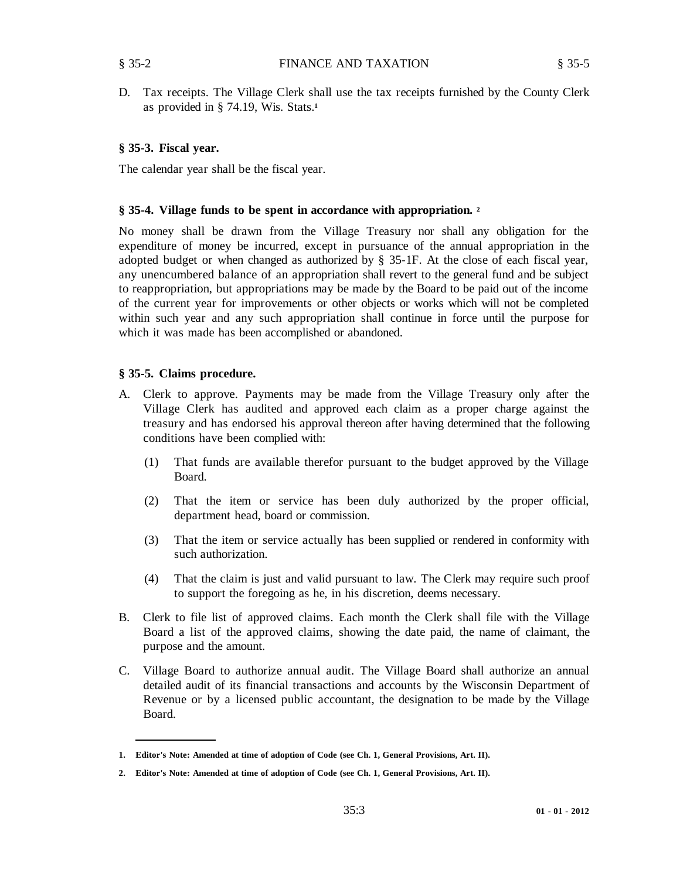D. Tax receipts. The Village Clerk shall use the tax receipts furnished by the County Clerk as provided in § 74.19, Wis. Stats.**<sup>1</sup>**

## **§ 35-3. Fiscal year.**

The calendar year shall be the fiscal year.

## **§ 35-4. Village funds to be spent in accordance with appropriation. <sup>2</sup>**

No money shall be drawn from the Village Treasury nor shall any obligation for the expenditure of money be incurred, except in pursuance of the annual appropriation in the adopted budget or when changed as authorized by § 35-1F. At the close of each fiscal year, any unencumbered balance of an appropriation shall revert to the general fund and be subject to reappropriation, but appropriations may be made by the Board to be paid out of the income of the current year for improvements or other objects or works which will not be completed within such year and any such appropriation shall continue in force until the purpose for which it was made has been accomplished or abandoned.

## **§ 35-5. Claims procedure.**

- A. Clerk to approve. Payments may be made from the Village Treasury only after the Village Clerk has audited and approved each claim as a proper charge against the treasury and has endorsed his approval thereon after having determined that the following conditions have been complied with:
	- (1) That funds are available therefor pursuant to the budget approved by the Village Board.
	- (2) That the item or service has been duly authorized by the proper official, department head, board or commission.
	- (3) That the item or service actually has been supplied or rendered in conformity with such authorization.
	- (4) That the claim is just and valid pursuant to law. The Clerk may require such proof to support the foregoing as he, in his discretion, deems necessary.
- B. Clerk to file list of approved claims. Each month the Clerk shall file with the Village Board a list of the approved claims, showing the date paid, the name of claimant, the purpose and the amount.
- C. Village Board to authorize annual audit. The Village Board shall authorize an annual detailed audit of its financial transactions and accounts by the Wisconsin Department of Revenue or by a licensed public accountant, the designation to be made by the Village Board.

**<sup>1.</sup> Editor's Note: Amended at time of adoption of Code (see Ch. 1, General Provisions, Art. II).**

**<sup>2.</sup> Editor's Note: Amended at time of adoption of Code (see Ch. 1, General Provisions, Art. II).**